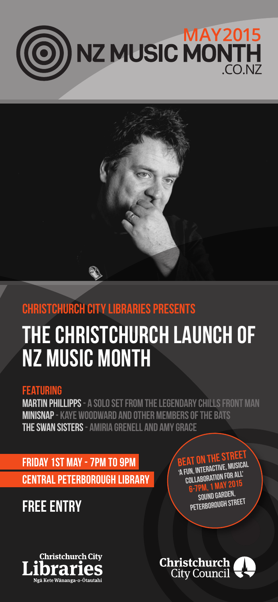



## **Christchurch City Libraries Presents**

# **The Christchurch Launch of NZ Music Month**

#### **Featuring**

**Martin Phillipps- a solo set from the legendary Chills front man Minisnap - Kaye Woodward and other members of The Bats The Swan Sisters- Amiria Grenell and Amy Grace**

**Friday 1st May - 7pm to 9pm Central Peterborough Library**

**FREE ENTRY**





**BEAT ON THE STREET 'A fun, interactive, musical collaboration for all' 6-7pm, 1 May 2015 SOUND GARDEN Peterborough Street**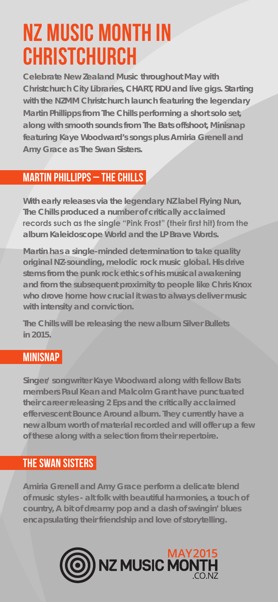## **NZ Music Month in Christchurch**

**Celebrate New Zealand Music throughout May with Christchurch City Libraries, CHART, RDU and live gigs. Starting with the NZMM Christchurch launch featuring the legendary Martin Phillipps from The Chills performing a short solo set, along with smooth sounds from The Bats offshoot, Minisnap featuring Kaye Woodward's songs plus Amiria Grenell and Amy Grace as The Swan Sisters.** 

## **Martin Phillipps – The Chills**

**With early releases via the legendary NZ label Flying Nun, The Chills produced a number of critically acclaimed records such as the single "Pink Frost" (their first hit) from the album Kaleidoscope World and the LP Brave Words.**

**Martin has a single-minded determination to take quality original NZ-sounding, melodic rock music global. His drive stems from the punk rock ethics of his musical awakening and from the subsequent proximity to people like Chris Knox who drove home how crucial it was to always deliver music with intensity and conviction.**

**The Chills will be releasing the new album Silver Bullets in 2015.**

## **Minisnap**

**Singer/ songwriter Kaye Woodward along with fellow Bats members Paul Kean and Malcolm Grant have punctuated their career releasing 2 Eps and the critically acclaimed effervescent Bounce Around album. They currently have a new album worth of material recorded and will offer up a few of these along with a selection from their repertoire.** 

### **The Swan Sisters**

**Amiria Grenell and Amy Grace perform a delicate blend of music styles - alt folk with beautiful harmonies, a touch of country, A bit of dreamy pop and a dash of swingin' blues encapsulating their friendship and love of storytelling.**

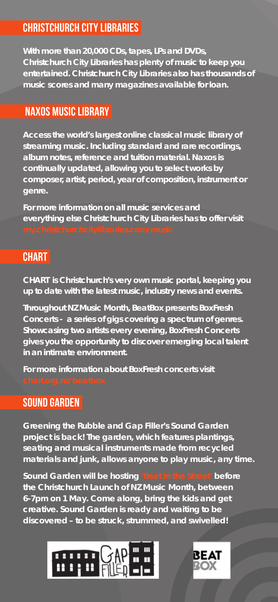## **Christchurch City Libraries**

**With more than 20,000 CDs, tapes, LPs and DVDs, Christchurch City Libraries has plenty of music to keep you entertained. Christchurch City Libraries also has thousands of music scores and many magazines available for loan.**

#### **Naxos Music Library**

**Access the world's largest online classical music library of streaming music. Including standard and rare recordings, album notes, reference and tuition material. Naxos is continually updated, allowing you to select works by composer, artist, period, year of composition, instrument or genre.**

**For more information on all music services and everything else Christchurch City Libraries has to offer visit** 

#### **CHART**

**CHART is Christchurch's very own music portal, keeping you up to date with the latest music, industry news and events.** 

**Throughout NZ Music Month, BeatBox presents BoxFresh Concerts - a series of gigs covering a spectrum of genres. Showcasing two artists every evening, BoxFresh Concerts gives you the opportunity to discover emerging local talent in an intimate environment.**

**For more information about BoxFresh concerts visit** 

#### **SOUND GARDEN**

**Greening the Rubble and Gap Filler's Sound Garden project is back! The garden, which features plantings, seating and musical instruments made from recycled materials and junk, allows anyone to play music, any time.**

**Sound Garden will be hosting 'Beat in the Street' before the Christchurch Launch of NZ Music Month, between 6-7pm on 1 May. Come along, bring the kids and get creative. Sound Garden is ready and waiting to be discovered – to be struck, strummed, and swivelled!**